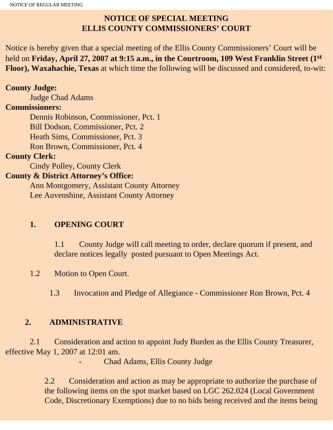## **NOTICE OF SPECIAL MEETING ELLIS COUNTY COMMISSIONERS' COURT**

Notice is hereby given that a special meeting of the Ellis County Commissioners' Court will be held on **Friday, April 27, 2007 at 9:15 a.m., in the Courtroom, 109 West Franklin Street (1st Floor), Waxahachie, Texas** at which time the following will be discussed and considered, to-wit:

#### **County Judge:**

Judge Chad Adams

#### **Commissioners:**

 Dennis Robinson, Commissioner, Pct. 1 Bill Dodson, Commissioner, Pct. 2 Heath Sims, Commissioner, Pct. 3 Ron Brown, Commissioner, Pct. 4

#### **County Clerk:**

Cindy Polley, County Clerk

### **County & District Attorney's Office:**

 Ann Montgomery, Assistant County Attorney Lee Auvenshine, Assistant County Attorney

## **1. OPENING COURT**

1.1 County Judge will call meeting to order, declare quorum if present, and declare notices legally posted pursuant to Open Meetings Act.

1.2 Motion to Open Court.

1.3 Invocation and Pledge of Allegiance - Commissioner Ron Brown, Pct. 4

## **2. ADMINISTRATIVE**

 2.1 Consideration and action to appoint Judy Burden as the Ellis County Treasurer, effective May 1, 2007 at 12:01 am.

Chad Adams, Ellis County Judge

2.2 Consideration and action as may be appropriate to authorize the purchase of the following items on the spot market based on LGC 262.024 (Local Government Code, Discretionary Exemptions) due to no bids being received and the items being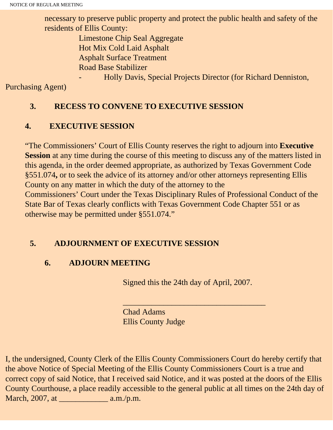necessary to preserve public property and protect the public health and safety of the residents of Ellis County:

> Limestone Chip Seal Aggregate Hot Mix Cold Laid Asphalt Asphalt Surface Treatment Road Base Stabilizer

> > - Holly Davis, Special Projects Director (for Richard Denniston,

Purchasing Agent)

## **3. RECESS TO CONVENE TO EXECUTIVE SESSION**

# **4. EXECUTIVE SESSION**

"The Commissioners' Court of Ellis County reserves the right to adjourn into **Executive Session** at any time during the course of this meeting to discuss any of the matters listed in this agenda, in the order deemed appropriate, as authorized by Texas Government Code §551.074**,** or to seek the advice of its attorney and/or other attorneys representing Ellis County on any matter in which the duty of the attorney to the Commissioners' Court under the Texas Disciplinary Rules of Professional Conduct of the State Bar of Texas clearly conflicts with Texas Government Code Chapter 551 or as otherwise may be permitted under §551.074."

# **5. ADJOURNMENT OF EXECUTIVE SESSION**

# **6. ADJOURN MEETING**

Signed this the 24th day of April, 2007.

 $\overline{\phantom{a}}$  , and the set of the set of the set of the set of the set of the set of the set of the set of the set of the set of the set of the set of the set of the set of the set of the set of the set of the set of the s

Chad Adams Ellis County Judge

I, the undersigned, County Clerk of the Ellis County Commissioners Court do hereby certify that the above Notice of Special Meeting of the Ellis County Commissioners Court is a true and correct copy of said Notice, that I received said Notice, and it was posted at the doors of the Ellis County Courthouse, a place readily accessible to the general public at all times on the 24th day of March,  $2007$ , at  $a.m./p.m$ .